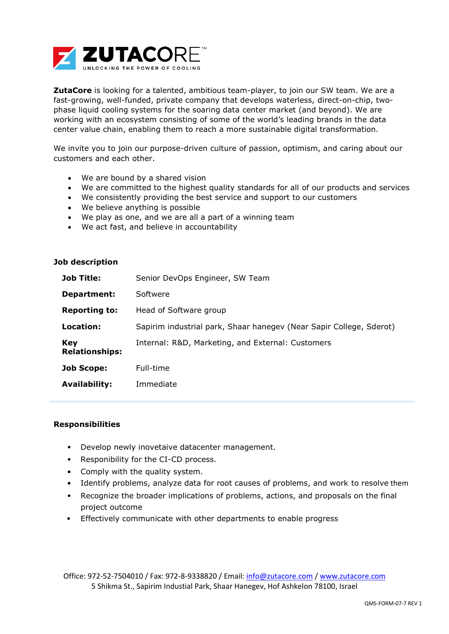

**ZutaCore** is looking for a talented, ambitious team-player, to join our SW team. We are a fast-growing, well-funded, private company that develops waterless, direct-on-chip, twophase liquid cooling systems for the soaring data center market (and beyond). We are working with an ecosystem consisting of some of the world's leading brands in the data center value chain, enabling them to reach a more sustainable digital transformation.

We invite you to join our purpose-driven culture of passion, optimism, and caring about our customers and each other.

- We are bound by a shared vision
- We are committed to the highest quality standards for all of our products and services
- We consistently providing the best service and support to our customers
- We believe anything is possible
- We play as one, and we are all a part of a winning team
- We act fast, and believe in accountability

## **Job description**

| <b>Job Title:</b>                   | Senior DevOps Engineer, SW Team                                     |
|-------------------------------------|---------------------------------------------------------------------|
| Department:                         | Softwere                                                            |
| <b>Reporting to:</b>                | Head of Software group                                              |
| Location:                           | Sapirim industrial park, Shaar hanegev (Near Sapir College, Sderot) |
| <b>Key</b><br><b>Relationships:</b> | Internal: R&D, Marketing, and External: Customers                   |
| Job Scope:                          | Full-time                                                           |
| <b>Availability:</b>                | Immediate                                                           |

## **Responsibilities**

- Develop newly inovetaive datacenter management.
- Responibility for the CI-CD process.
- Comply with the quality system.
- Identify problems, analyze data for root causes of problems, and work to resolve them
- Recognize the broader implications of problems, actions, and proposals on the final project outcome
- Effectively communicate with other departments to enable progress